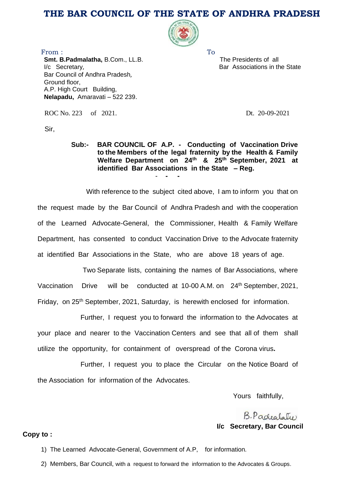# **THE BAR COUNCIL OF THE STATE OF ANDHRA PRADESH**



 The Presidents of all Bar Associations in the State

From : **To Smt. B.Padmalatha,** B.Com., LL.B. I/c Secretary, Bar Council of Andhra Pradesh, Ground floor, A.P. High Court Building, **Nelapadu,** Amaravati – 522 239.

ROC No. 223 of 2021. Dt. 20-09-2021

Sir,

#### **Sub:- BAR COUNCIL OF A.P. - Conducting of Vaccination Drive to the Members of the legal fraternity by the Health & Family Welfare Department on 24th & 25th September, 2021 at identified Bar Associations in the State – Reg.** - **- -**

With reference to the subject cited above, I am to inform you that on the request made by the Bar Council of Andhra Pradesh and with the cooperation of the Learned Advocate-General, the Commissioner, Health & Family Welfare Department, has consented to conduct Vaccination Drive to the Advocate fraternity at identified Bar Associations in the State, who are above 18 years of age.

Two Separate lists, containing the names of Bar Associations, where Vaccination Drive will be conducted at 10-00 A.M. on 24<sup>th</sup> September, 2021, Friday, on 25<sup>th</sup> September, 2021, Saturday, is herewith enclosed for information.

 Further, I request you to forward the information to the Advocates at your place and nearer to the Vaccination Centers and see that all of them shall utilize the opportunity, for containment of overspread of the Corona virus**.**

Further, I request you to place the Circular on the Notice Board of the Association for information of the Advocates.

Yours faithfully,

B. Padealate **I/c Secretary, Bar Council**

#### **Copy to :**

1) The Learned Advocate-General, Government of A.P, for information.

2) Members, Bar Council, with a request to forward the information to the Advocates & Groups.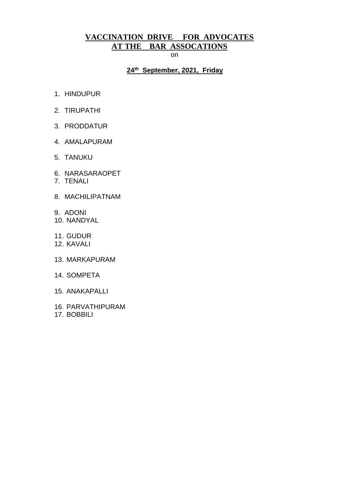# **VACCINATION DRIVE FOR ADVOCATES AT THE BAR ASSOCATIONS**

on

### **24th September, 2021, Friday**

- 1. HINDUPUR
- 2. TIRUPATHI
- 3. PRODDATUR
- 4. AMALAPURAM
- 5. TANUKU
- 6. NARASARAOPET
- 7. TENALI
- 8. MACHILIPATNAM
- 9. ADONI
- 10. NANDYAL
- 11. GUDUR
- 12. KAVALI
- 13. MARKAPURAM
- 14. SOMPETA
- 15. ANAKAPALLI
- 16. PARVATHIPURAM
- 17. BOBBILI